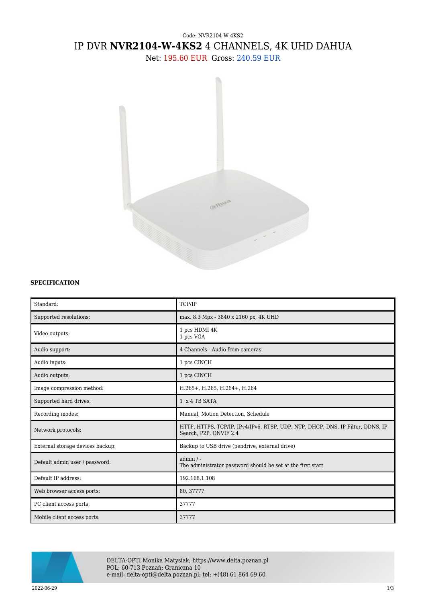# Code: NVR2104-W-4KS2 IP DVR **NVR2104-W-4KS2** 4 CHANNELS, 4K UHD DAHUA

Net: 195.60 EUR Gross: 240.59 EUR



## **SPECIFICATION**

| Standard:                        | TCP/IP                                                                                                   |
|----------------------------------|----------------------------------------------------------------------------------------------------------|
| Supported resolutions:           | max. 8.3 Mpx - 3840 x 2160 px, 4K UHD                                                                    |
| Video outputs:                   | 1 pcs HDMI 4K<br>1 pcs VGA                                                                               |
| Audio support:                   | 4 Channels - Audio from cameras                                                                          |
| Audio inputs:                    | 1 pcs CINCH                                                                                              |
| Audio outputs:                   | 1 pcs CINCH                                                                                              |
| Image compression method:        | H.265+, H.265, H.264+, H.264                                                                             |
| Supported hard drives:           | 1 x 4 TB SATA                                                                                            |
| Recording modes:                 | Manual, Motion Detection, Schedule                                                                       |
| Network protocols:               | HTTP, HTTPS, TCP/IP, IPv4/IPv6, RTSP, UDP, NTP, DHCP, DNS, IP Filter, DDNS, IP<br>Search, P2P, ONVIF 2.4 |
| External storage devices backup: | Backup to USB drive (pendrive, external drive)                                                           |
| Default admin user / password:   | $admin / -$<br>The administrator password should be set at the first start                               |
| Default IP address:              | 192.168.1.108                                                                                            |
| Web browser access ports:        | 80, 37777                                                                                                |
| PC client access ports:          | 37777                                                                                                    |
| Mobile client access ports:      | 37777                                                                                                    |



DELTA-OPTI Monika Matysiak; https://www.delta.poznan.pl POL; 60-713 Poznań; Graniczna 10 e-mail: delta-opti@delta.poznan.pl; tel: +(48) 61 864 69 60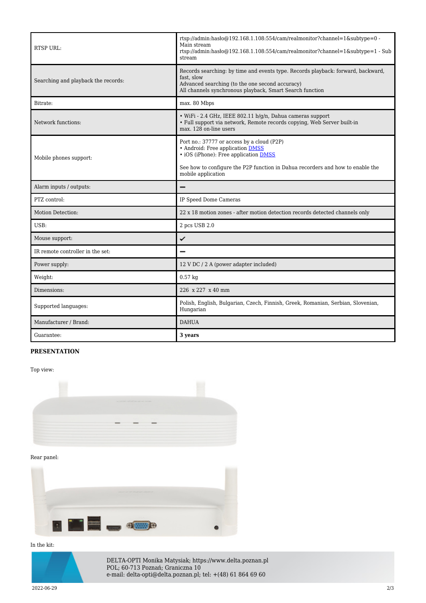| <b>RTSP URL:</b>                    | rtsp://admin.hasho@192.168.1.108:554/cam/realmonitor?channel=1&subtype=0 -<br>Main stream<br>rtsp://admin:haslo $@192.168.1.108.554/cam/realmonitor?channel=1$ &subtype=1 - Sub<br>stream                                       |
|-------------------------------------|---------------------------------------------------------------------------------------------------------------------------------------------------------------------------------------------------------------------------------|
| Searching and playback the records: | Records searching: by time and events type. Records playback: forward, backward,<br>fast, slow<br>Advanced searching (to the one second accuracy)<br>All channels synchronous playback, Smart Search function                   |
| Bitrate:                            | max. 80 Mbps                                                                                                                                                                                                                    |
| Network functions:                  | · WiFi - 2.4 GHz, IEEE 802.11 b/g/n, Dahua cameras support<br>• Full support via network, Remote records copying, Web Server built-in<br>max. 128 on-line users                                                                 |
| Mobile phones support:              | Port no.: 37777 or access by a cloud (P2P)<br>• Android: Free application DMSS<br>• iOS (iPhone): Free application DMSS<br>See how to configure the P2P function in Dahua recorders and how to enable the<br>mobile application |
| Alarm inputs / outputs:             |                                                                                                                                                                                                                                 |
| PTZ control:                        | IP Speed Dome Cameras                                                                                                                                                                                                           |
| Motion Detection:                   | 22 x 18 motion zones - after motion detection records detected channels only                                                                                                                                                    |
| USB:                                | 2 pcs USB 2.0                                                                                                                                                                                                                   |
| Mouse support:                      | ✓                                                                                                                                                                                                                               |
| IR remote controller in the set:    |                                                                                                                                                                                                                                 |
| Power supply:                       | 12 V DC / 2 A (power adapter included)                                                                                                                                                                                          |
| Weight:                             | $0.57$ kg                                                                                                                                                                                                                       |
| Dimensions:                         | 226 x 227 x 40 mm                                                                                                                                                                                                               |
| Supported languages:                | Polish, English, Bulgarian, Czech, Finnish, Greek, Romanian, Serbian, Slovenian,<br>Hungarian                                                                                                                                   |
| Manufacturer / Brand:               | <b>DAHUA</b>                                                                                                                                                                                                                    |
| Guarantee:                          | 3 years                                                                                                                                                                                                                         |

## **PRESENTATION**

Top view:



Rear panel:



#### In the kit:



DELTA-OPTI Monika Matysiak; https://www.delta.poznan.pl POL; 60-713 Poznań; Graniczna 10 e-mail: delta-opti@delta.poznan.pl; tel: +(48) 61 864 69 60

2022-06-29 2/3